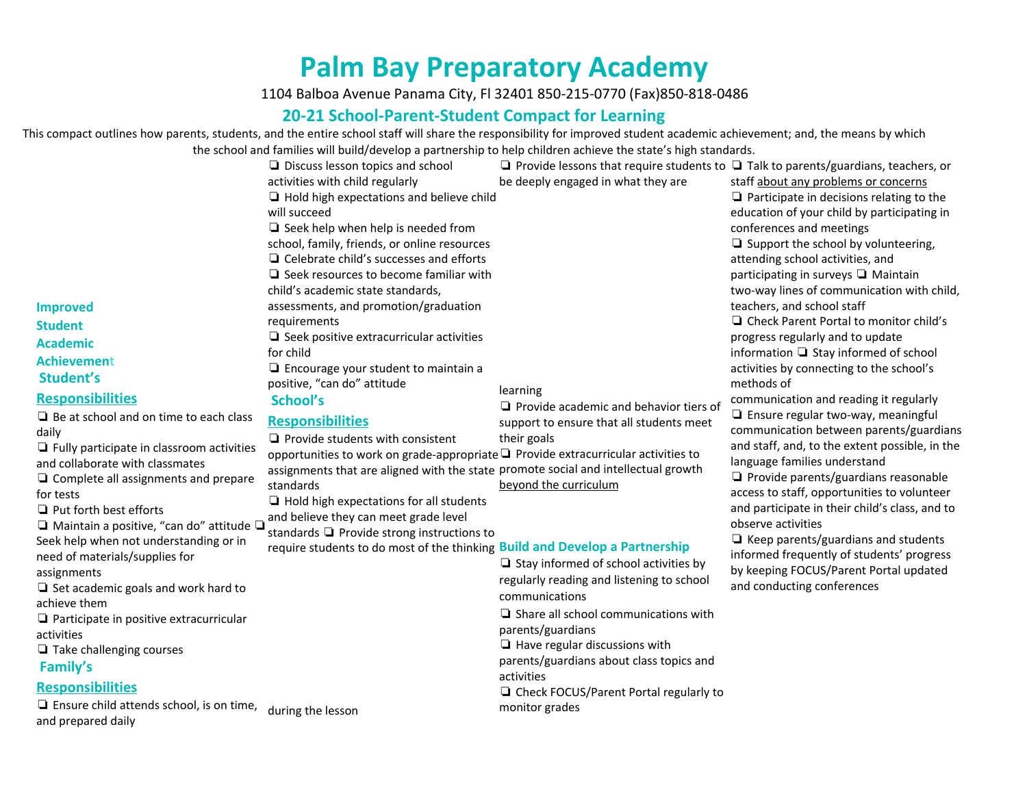## **Palm Bay Preparatory Academy**

1104 Balboa Avenue Panama City, Fl 32401 850-215-0770 (Fax)850-818-0486

## **20-21 School-Parent-Student Compact for Learning**

This compact outlines how parents, students, and the entire school staff will share the responsibility for improved student academic achievement; and, the means by which the school and families will build/develop a partnership to help children achieve the state's high standards.

|                                                                                                                                                                                                                                                                                                                                                                                                                                                                                                                                                                                                                                                                                                                                                                                                                        | the school and families will build/develop a partilership to help children achieve the state's high standards.                                                                                                                                                                                                                                                                                                                                                                                                                                                                                                                                                                                                                                                                                                                                                                                                                                                                                                                                                    |                                                                                                                                                                                                                                                                                                                                                                                                                                                                                                                                                                                                                                                                                         |                                                                                                                                                                                                                                                                                                                                                                                                                                                                                                                                                                                                                                                                                                                                                                                                                                                                                                                                                                                                                                                                                                                         |
|------------------------------------------------------------------------------------------------------------------------------------------------------------------------------------------------------------------------------------------------------------------------------------------------------------------------------------------------------------------------------------------------------------------------------------------------------------------------------------------------------------------------------------------------------------------------------------------------------------------------------------------------------------------------------------------------------------------------------------------------------------------------------------------------------------------------|-------------------------------------------------------------------------------------------------------------------------------------------------------------------------------------------------------------------------------------------------------------------------------------------------------------------------------------------------------------------------------------------------------------------------------------------------------------------------------------------------------------------------------------------------------------------------------------------------------------------------------------------------------------------------------------------------------------------------------------------------------------------------------------------------------------------------------------------------------------------------------------------------------------------------------------------------------------------------------------------------------------------------------------------------------------------|-----------------------------------------------------------------------------------------------------------------------------------------------------------------------------------------------------------------------------------------------------------------------------------------------------------------------------------------------------------------------------------------------------------------------------------------------------------------------------------------------------------------------------------------------------------------------------------------------------------------------------------------------------------------------------------------|-------------------------------------------------------------------------------------------------------------------------------------------------------------------------------------------------------------------------------------------------------------------------------------------------------------------------------------------------------------------------------------------------------------------------------------------------------------------------------------------------------------------------------------------------------------------------------------------------------------------------------------------------------------------------------------------------------------------------------------------------------------------------------------------------------------------------------------------------------------------------------------------------------------------------------------------------------------------------------------------------------------------------------------------------------------------------------------------------------------------------|
| <b>Improved</b><br><b>Student</b><br><b>Academic</b><br><b>Achievement</b><br>Student's<br><b>Responsibilities</b><br>$\Box$ Be at school and on time to each class<br>daily<br>$\Box$ Fully participate in classroom activities<br>and collaborate with classmates<br>$\Box$ Complete all assignments and prepare<br>for tests<br>$\Box$ Put forth best efforts<br>$\Box$ Maintain a positive, "can do" attitude $\Box$<br>Seek help when not understanding or in<br>need of materials/supplies for<br>assignments<br>$\Box$ Set academic goals and work hard to<br>achieve them<br>$\Box$ Participate in positive extracurricular<br>activities<br>$\Box$ Take challenging courses<br>Family's<br><b>Responsibilities</b><br>$\Box$ Ensure child attends school, is on time, during the lesson<br>and prepared daily | $\Box$ Discuss lesson topics and school<br>activities with child regularly<br>$\Box$ Hold high expectations and believe child<br>will succeed<br>$\Box$ Seek help when help is needed from<br>school, family, friends, or online resources<br>$\Box$ Celebrate child's successes and efforts<br>$\Box$ Seek resources to become familiar with<br>child's academic state standards,<br>assessments, and promotion/graduation<br>requirements<br>$\Box$ Seek positive extracurricular activities<br>for child<br>$\Box$ Encourage your student to maintain a<br>positive, "can do" attitude<br>School's<br><b>Responsibilities</b><br>$\Box$ Provide students with consistent<br>opportunities to work on grade-appropriate □ Provide extracurricular activities to<br>assignments that are aligned with the state promote social and intellectual growth<br>standards<br>$\Box$ Hold high expectations for all students<br>and believe they can meet grade level<br>standards $\Box$ Provide strong instructions to<br>require students to do most of the thinking | $\Box$ Provide lessons that require students to $\Box$ Talk to parents/guardians, teachers, or<br>be deeply engaged in what they are<br>learning<br>$\Box$ Provide academic and behavior tiers of<br>support to ensure that all students meet<br>their goals<br>beyond the curriculum<br><b>Build and Develop a Partnership</b><br>$\Box$ Stay informed of school activities by<br>regularly reading and listening to school<br>communications<br>$\Box$ Share all school communications with<br>parents/guardians<br>$\Box$ Have regular discussions with<br>parents/guardians about class topics and<br>activities<br>$\Box$ Check FOCUS/Parent Portal regularly to<br>monitor grades | staff about any problems or concerns<br>$\Box$ Participate in decisions relating to the<br>education of your child by participating in<br>conferences and meetings<br>$\Box$ Support the school by volunteering,<br>attending school activities, and<br>participating in surveys □ Maintain<br>two-way lines of communication with child,<br>teachers, and school staff<br>□ Check Parent Portal to monitor child's<br>progress regularly and to update<br>information □ Stay informed of school<br>activities by connecting to the school's<br>methods of<br>communication and reading it regularly<br>$\Box$ Ensure regular two-way, meaningful<br>communication between parents/guardians<br>and staff, and, to the extent possible, in the<br>language families understand<br>$\Box$ Provide parents/guardians reasonable<br>access to staff, opportunities to volunteer<br>and participate in their child's class, and to<br>observe activities<br>$\Box$ Keep parents/guardians and students<br>informed frequently of students' progress<br>by keeping FOCUS/Parent Portal updated<br>and conducting conferences |